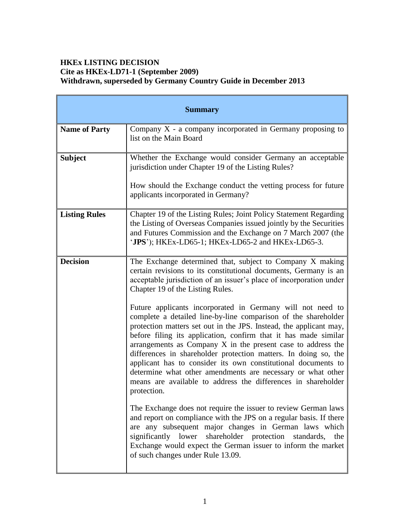# **HKEx LISTING DECISION Cite as HKEx-LD71-1 (September 2009) Withdrawn, superseded by Germany Country Guide in December 2013**

| <b>Summary</b>       |                                                                                                                                                                                                                                                                                                                                                                                                                                                                                                                                                                                                                          |
|----------------------|--------------------------------------------------------------------------------------------------------------------------------------------------------------------------------------------------------------------------------------------------------------------------------------------------------------------------------------------------------------------------------------------------------------------------------------------------------------------------------------------------------------------------------------------------------------------------------------------------------------------------|
| <b>Name of Party</b> | Company $X - a$ company incorporated in Germany proposing to<br>list on the Main Board                                                                                                                                                                                                                                                                                                                                                                                                                                                                                                                                   |
| <b>Subject</b>       | Whether the Exchange would consider Germany an acceptable<br>jurisdiction under Chapter 19 of the Listing Rules?                                                                                                                                                                                                                                                                                                                                                                                                                                                                                                         |
|                      | How should the Exchange conduct the vetting process for future<br>applicants incorporated in Germany?                                                                                                                                                                                                                                                                                                                                                                                                                                                                                                                    |
| <b>Listing Rules</b> | Chapter 19 of the Listing Rules; Joint Policy Statement Regarding<br>the Listing of Overseas Companies issued jointly by the Securities<br>and Futures Commission and the Exchange on 7 March 2007 (the<br>'JPS'); HKEx-LD65-1; HKEx-LD65-2 and HKEx-LD65-3.                                                                                                                                                                                                                                                                                                                                                             |
| <b>Decision</b>      | The Exchange determined that, subject to Company X making<br>certain revisions to its constitutional documents, Germany is an<br>acceptable jurisdiction of an issuer's place of incorporation under<br>Chapter 19 of the Listing Rules.                                                                                                                                                                                                                                                                                                                                                                                 |
|                      | Future applicants incorporated in Germany will not need to<br>complete a detailed line-by-line comparison of the shareholder<br>protection matters set out in the JPS. Instead, the applicant may,<br>before filing its application, confirm that it has made similar<br>arrangements as Company X in the present case to address the<br>differences in shareholder protection matters. In doing so, the<br>applicant has to consider its own constitutional documents to<br>determine what other amendments are necessary or what other<br>means are available to address the differences in shareholder<br>protection. |
|                      | The Exchange does not require the issuer to review German laws<br>and report on compliance with the JPS on a regular basis. If there<br>are any subsequent major changes in German laws which<br>significantly lower shareholder protection<br>standards,<br>the<br>Exchange would expect the German issuer to inform the market<br>of such changes under Rule 13.09.                                                                                                                                                                                                                                                    |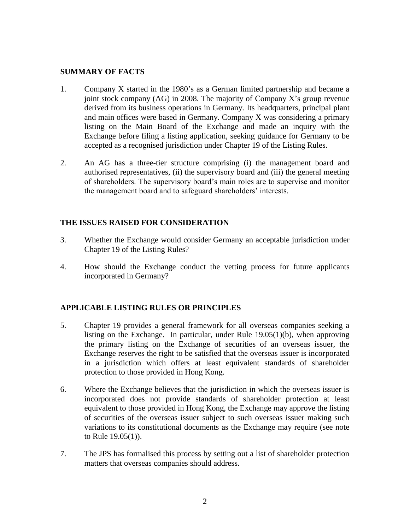#### **SUMMARY OF FACTS**

- 1. Company X started in the 1980's as a German limited partnership and became a joint stock company (AG) in 2008. The majority of Company X's group revenue derived from its business operations in Germany. Its headquarters, principal plant and main offices were based in Germany. Company X was considering a primary listing on the Main Board of the Exchange and made an inquiry with the Exchange before filing a listing application, seeking guidance for Germany to be accepted as a recognised jurisdiction under Chapter 19 of the Listing Rules.
- 2. An AG has a three-tier structure comprising (i) the management board and authorised representatives, (ii) the supervisory board and (iii) the general meeting of shareholders. The supervisory board's main roles are to supervise and monitor the management board and to safeguard shareholders' interests.

# **THE ISSUES RAISED FOR CONSIDERATION**

- 3. Whether the Exchange would consider Germany an acceptable jurisdiction under Chapter 19 of the Listing Rules?
- 4. How should the Exchange conduct the vetting process for future applicants incorporated in Germany?

# **APPLICABLE LISTING RULES OR PRINCIPLES**

- 5. Chapter 19 provides a general framework for all overseas companies seeking a listing on the Exchange. In particular, under Rule 19.05(1)(b), when approving the primary listing on the Exchange of securities of an overseas issuer, the Exchange reserves the right to be satisfied that the overseas issuer is incorporated in a jurisdiction which offers at least equivalent standards of shareholder protection to those provided in Hong Kong.
- 6. Where the Exchange believes that the jurisdiction in which the overseas issuer is incorporated does not provide standards of shareholder protection at least equivalent to those provided in Hong Kong, the Exchange may approve the listing of securities of the overseas issuer subject to such overseas issuer making such variations to its constitutional documents as the Exchange may require (see note to Rule 19.05(1)).
- 7. The JPS has formalised this process by setting out a list of shareholder protection matters that overseas companies should address.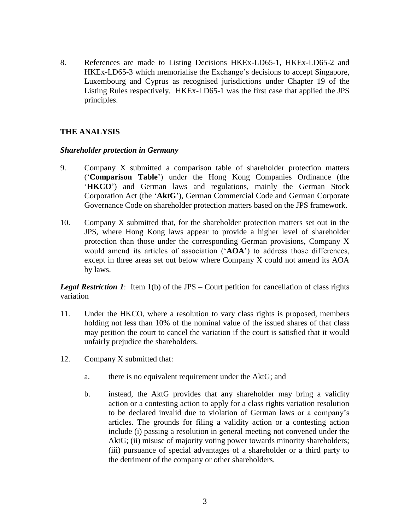8. References are made to Listing Decisions HKEx-LD65-1, HKEx-LD65-2 and HKEx-LD65-3 which memorialise the Exchange's decisions to accept Singapore, Luxembourg and Cyprus as recognised jurisdictions under Chapter 19 of the Listing Rules respectively. HKEx-LD65-1 was the first case that applied the JPS principles.

# **THE ANALYSIS**

#### *Shareholder protection in Germany*

- 9. Company X submitted a comparison table of shareholder protection matters ('**Comparison Table**') under the Hong Kong Companies Ordinance (the '**HKCO**') and German laws and regulations, mainly the German Stock Corporation Act (the '**AktG**'), German Commercial Code and German Corporate Governance Code on shareholder protection matters based on the JPS framework.
- 10. Company X submitted that, for the shareholder protection matters set out in the JPS, where Hong Kong laws appear to provide a higher level of shareholder protection than those under the corresponding German provisions, Company X would amend its articles of association ('**AOA**') to address those differences, except in three areas set out below where Company X could not amend its AOA by laws.

*Legal Restriction 1*: Item 1(b) of the JPS – Court petition for cancellation of class rights variation

- 11. Under the HKCO, where a resolution to vary class rights is proposed, members holding not less than 10% of the nominal value of the issued shares of that class may petition the court to cancel the variation if the court is satisfied that it would unfairly prejudice the shareholders.
- 12. Company X submitted that:
	- a. there is no equivalent requirement under the AktG; and
	- b. instead, the AktG provides that any shareholder may bring a validity action or a contesting action to apply for a class rights variation resolution to be declared invalid due to violation of German laws or a company's articles. The grounds for filing a validity action or a contesting action include (i) passing a resolution in general meeting not convened under the AktG; (ii) misuse of majority voting power towards minority shareholders; (iii) pursuance of special advantages of a shareholder or a third party to the detriment of the company or other shareholders.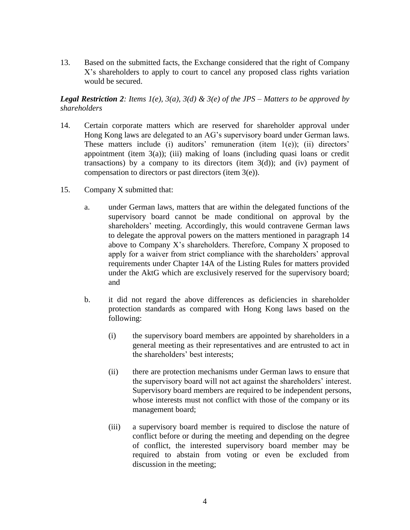13. Based on the submitted facts, the Exchange considered that the right of Company X's shareholders to apply to court to cancel any proposed class rights variation would be secured.

*Legal Restriction 2: Items 1(e), 3(a), 3(d) & 3(e) of the JPS – Matters to be approved by shareholders*

- 14. Certain corporate matters which are reserved for shareholder approval under Hong Kong laws are delegated to an AG's supervisory board under German laws. These matters include (i) auditors' remuneration (item  $1(e)$ ); (ii) directors' appointment (item  $3(a)$ ); (iii) making of loans (including quasi loans or credit transactions) by a company to its directors (item  $3(d)$ ); and (iv) payment of compensation to directors or past directors (item 3(e)).
- 15. Company X submitted that:
	- a. under German laws, matters that are within the delegated functions of the supervisory board cannot be made conditional on approval by the shareholders' meeting. Accordingly, this would contravene German laws to delegate the approval powers on the matters mentioned in paragraph 14 above to Company X's shareholders. Therefore, Company X proposed to apply for a waiver from strict compliance with the shareholders' approval requirements under Chapter 14A of the Listing Rules for matters provided under the AktG which are exclusively reserved for the supervisory board; and
	- b. it did not regard the above differences as deficiencies in shareholder protection standards as compared with Hong Kong laws based on the following:
		- (i) the supervisory board members are appointed by shareholders in a general meeting as their representatives and are entrusted to act in the shareholders' best interests;
		- (ii) there are protection mechanisms under German laws to ensure that the supervisory board will not act against the shareholders' interest. Supervisory board members are required to be independent persons, whose interests must not conflict with those of the company or its management board;
		- (iii) a supervisory board member is required to disclose the nature of conflict before or during the meeting and depending on the degree of conflict, the interested supervisory board member may be required to abstain from voting or even be excluded from discussion in the meeting;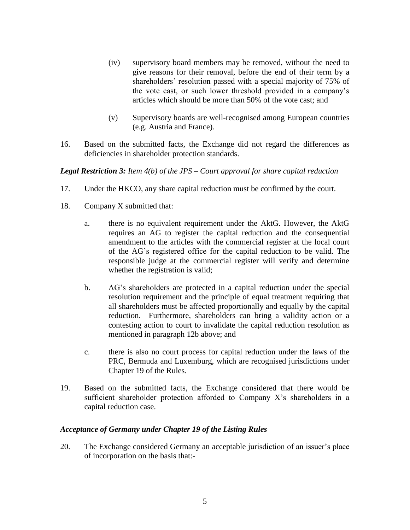- (iv) supervisory board members may be removed, without the need to give reasons for their removal, before the end of their term by a shareholders' resolution passed with a special majority of 75% of the vote cast, or such lower threshold provided in a company's articles which should be more than 50% of the vote cast; and
- (v) Supervisory boards are well-recognised among European countries (e.g. Austria and France).
- 16. Based on the submitted facts, the Exchange did not regard the differences as deficiencies in shareholder protection standards.

*Legal Restriction 3: Item 4(b) of the JPS – Court approval for share capital reduction*

- 17. Under the HKCO, any share capital reduction must be confirmed by the court.
- 18. Company X submitted that:
	- a. there is no equivalent requirement under the AktG. However, the AktG requires an AG to register the capital reduction and the consequential amendment to the articles with the commercial register at the local court of the AG's registered office for the capital reduction to be valid. The responsible judge at the commercial register will verify and determine whether the registration is valid;
	- b. AG's shareholders are protected in a capital reduction under the special resolution requirement and the principle of equal treatment requiring that all shareholders must be affected proportionally and equally by the capital reduction. Furthermore, shareholders can bring a validity action or a contesting action to court to invalidate the capital reduction resolution as mentioned in paragraph 12b above; and
	- c. there is also no court process for capital reduction under the laws of the PRC, Bermuda and Luxemburg, which are recognised jurisdictions under Chapter 19 of the Rules.
- 19. Based on the submitted facts, the Exchange considered that there would be sufficient shareholder protection afforded to Company X's shareholders in a capital reduction case.

# *Acceptance of Germany under Chapter 19 of the Listing Rules*

20. The Exchange considered Germany an acceptable jurisdiction of an issuer's place of incorporation on the basis that:-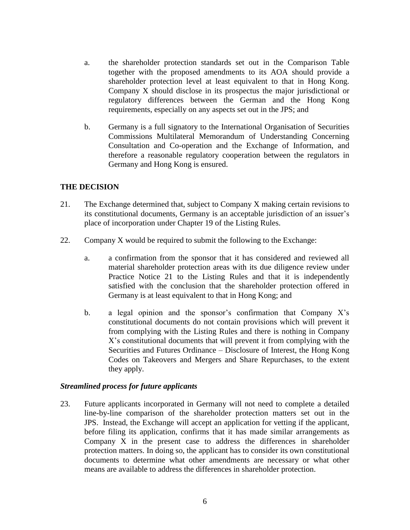- a. the shareholder protection standards set out in the Comparison Table together with the proposed amendments to its AOA should provide a shareholder protection level at least equivalent to that in Hong Kong. Company X should disclose in its prospectus the major jurisdictional or regulatory differences between the German and the Hong Kong requirements, especially on any aspects set out in the JPS; and
- b. Germany is a full signatory to the International Organisation of Securities Commissions Multilateral Memorandum of Understanding Concerning Consultation and Co-operation and the Exchange of Information, and therefore a reasonable regulatory cooperation between the regulators in Germany and Hong Kong is ensured.

#### **THE DECISION**

- 21. The Exchange determined that, subject to Company X making certain revisions to its constitutional documents, Germany is an acceptable jurisdiction of an issuer's place of incorporation under Chapter 19 of the Listing Rules.
- 22. Company X would be required to submit the following to the Exchange:
	- a. a confirmation from the sponsor that it has considered and reviewed all material shareholder protection areas with its due diligence review under Practice Notice 21 to the Listing Rules and that it is independently satisfied with the conclusion that the shareholder protection offered in Germany is at least equivalent to that in Hong Kong; and
	- b. a legal opinion and the sponsor's confirmation that Company X's constitutional documents do not contain provisions which will prevent it from complying with the Listing Rules and there is nothing in Company X's constitutional documents that will prevent it from complying with the Securities and Futures Ordinance – Disclosure of Interest, the Hong Kong Codes on Takeovers and Mergers and Share Repurchases, to the extent they apply.

#### *Streamlined process for future applicants*

23. Future applicants incorporated in Germany will not need to complete a detailed line-by-line comparison of the shareholder protection matters set out in the JPS. Instead, the Exchange will accept an application for vetting if the applicant, before filing its application, confirms that it has made similar arrangements as Company X in the present case to address the differences in shareholder protection matters. In doing so, the applicant has to consider its own constitutional documents to determine what other amendments are necessary or what other means are available to address the differences in shareholder protection.